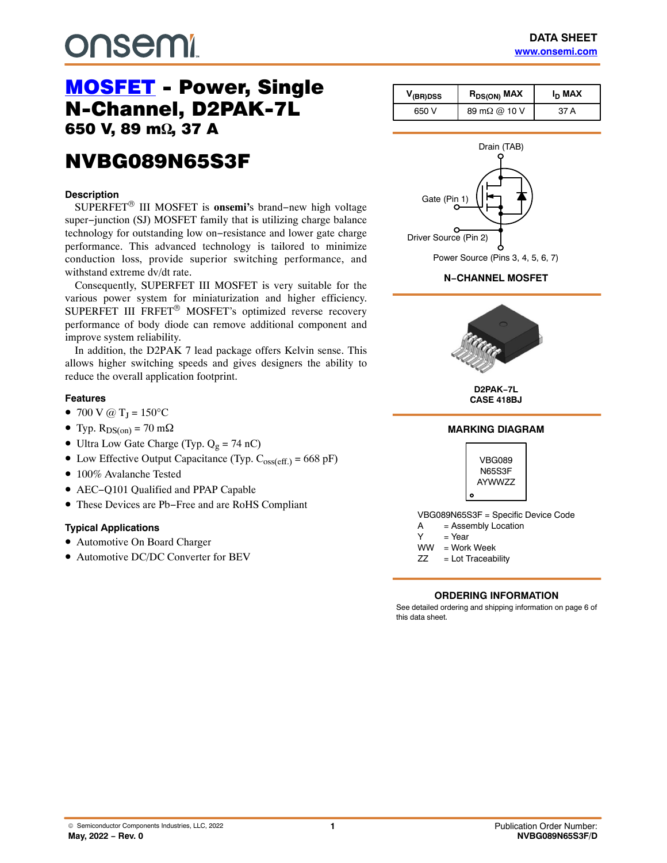# **DUSEMI**

# [MOSFET](https://www.onsemi.com/products/discretes-drivers/mosfets) - Power, Single<br>N-Channel, D2PAK-7L 650 V, 89 m $\Omega$ , 37 A , 37 A

## NVBG089N65S3F NVBG089N65S3F

#### **Description**

SUPERFET® III MOSFET is **onsemi'**s brand−new high voltage super−junction (SJ) MOSFET family that is utilizing charge balance technology for outstanding low on−resistance and lower gate charge performance. This advanced technology is tailored to minimize conduction loss, provide superior switching performance, and withstand extreme dv/dt rate.

Consequently, SUPERFET III MOSFET is very suitable for the various power system for miniaturization and higher efficiency. SUPERFET III FRFET® MOSFET's optimized reverse recovery performance of body diode can remove additional component and improve system reliability.

In addition, the D2PAK 7 lead package offers Kelvin sense. This allows higher switching speeds and gives designers the ability to reduce the overall application footprint.

#### **Features**

- 700 V @  $T_J = 150$ °C
- Typ.  $R_{DS(on)} = 70$  m $\Omega$
- Ultra Low Gate Charge (Typ.  $Q_g = 74$  nC)
- Low Effective Output Capacitance (Typ.  $C_{oss(eff.)} = 668$  pF)
- 100% Avalanche Tested
- AEC−Q101 Qualified and PPAP Capable
- These Devices are Pb−Free and are RoHS Compliant

#### **Typical Applications**

- Automotive On Board Charger
- Automotive DC/DC Converter for BEV

| $V_{(BR)DSS}$ | R <sub>DS(ON)</sub> MAX | I <sub>D</sub> MAX |
|---------------|-------------------------|--------------------|
| 650 V         | 89 m $\Omega$ @ 10 V    | 37 A               |



**N−CHANNEL MOSFET**



**D2PAK−7L CASE 418BJ**

### **MARKING DIAGRAM**



A = Assembly Location

- $Y = Year$
- WW = Work Week
- $ZZ = Lot Traceability$

#### **ORDERING INFORMATION**

See detailed ordering and shipping information on page [6](#page-5-0) of this data sheet.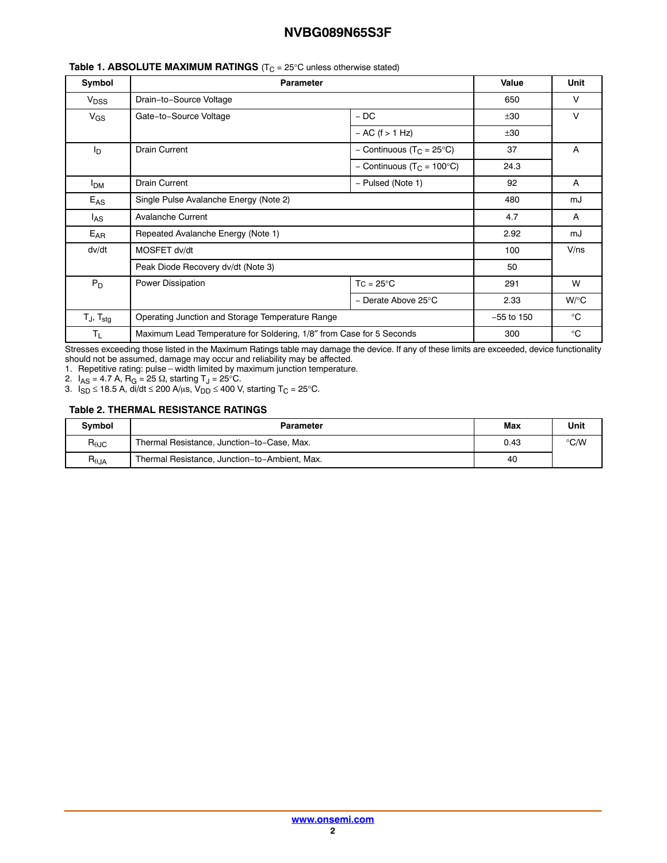| Symbol                   | <b>Parameter</b>                                                     |                                       | Value        | Unit         |
|--------------------------|----------------------------------------------------------------------|---------------------------------------|--------------|--------------|
| V <sub>DSS</sub>         | Drain-to-Source Voltage                                              |                                       | 650          | v            |
| $V_{GS}$                 | Gate-to-Source Voltage                                               | $-DC$                                 | ±30          | V            |
|                          |                                                                      | $- AC$ (f $> 1 Hz$ )                  | ±30          |              |
| ΙD                       | <b>Drain Current</b>                                                 | - Continuous (T <sub>C</sub> = 25°C)  | 37           | A            |
|                          |                                                                      | - Continuous (T <sub>C</sub> = 100°C) | 24.3         |              |
| <b>I<sub>DM</sub></b>    | <b>Drain Current</b>                                                 | - Pulsed (Note 1)                     |              | A            |
| $E_{AS}$                 | Single Pulse Avalanche Energy (Note 2)                               |                                       | 480          | mJ           |
| l <sub>AS</sub>          | <b>Avalanche Current</b>                                             |                                       | 4.7          | A            |
| $E_{AR}$                 | Repeated Avalanche Energy (Note 1)                                   |                                       | 2.92         | mJ           |
| dv/dt                    | MOSFET dv/dt                                                         |                                       | 100          | V/ns         |
|                          | Peak Diode Recovery dv/dt (Note 3)                                   |                                       | 50           |              |
| $P_D$                    | Power Dissipation                                                    | $TC = 25^{\circ}C$                    | 291          | W            |
|                          |                                                                      | - Derate Above 25°C                   | 2.33         | $W$ /°C      |
| $T_J$ , $T_{\text{stg}}$ | Operating Junction and Storage Temperature Range                     |                                       | $-55$ to 150 | $^{\circ}$ C |
| $T_{L}$                  | Maximum Lead Temperature for Soldering, 1/8" from Case for 5 Seconds |                                       | 300          | $^{\circ}$ C |

#### **Table 1. ABSOLUTE MAXIMUM RATINGS** (T<sub>C</sub> = 25°C unless otherwise stated)

Stresses exceeding those listed in the Maximum Ratings table may damage the device. If any of these limits are exceeded, device functionality

should not be assumed, damage may occur and reliability may be affected. 1. Repetitive rating: pulse-width limited by maximum junction temperature.

2.  $I_{AS}$  = 4.7 A, R<sub>G</sub> = 25  $\Omega$ , starting T<sub>J</sub> = 25°C.

3.  $I_{SD}$  ≤ 18.5 A, di/dt ≤ 200 A/ $\mu$ s, V<sub>DD</sub> ≤ 400 V, starting T<sub>C</sub> = 25°C.

#### **Table 2. THERMAL RESISTANCE RATINGS**

| <b>Symbol</b>                    | Parameter                                     | Max | Unit          |
|----------------------------------|-----------------------------------------------|-----|---------------|
| $R_{\theta$ JC                   | Thermal Resistance, Junction-to-Case, Max.    |     | $\degree$ C/W |
| $\mathsf{R}_{\theta\mathsf{JA}}$ | Thermal Resistance, Junction-to-Ambient, Max. | 40  |               |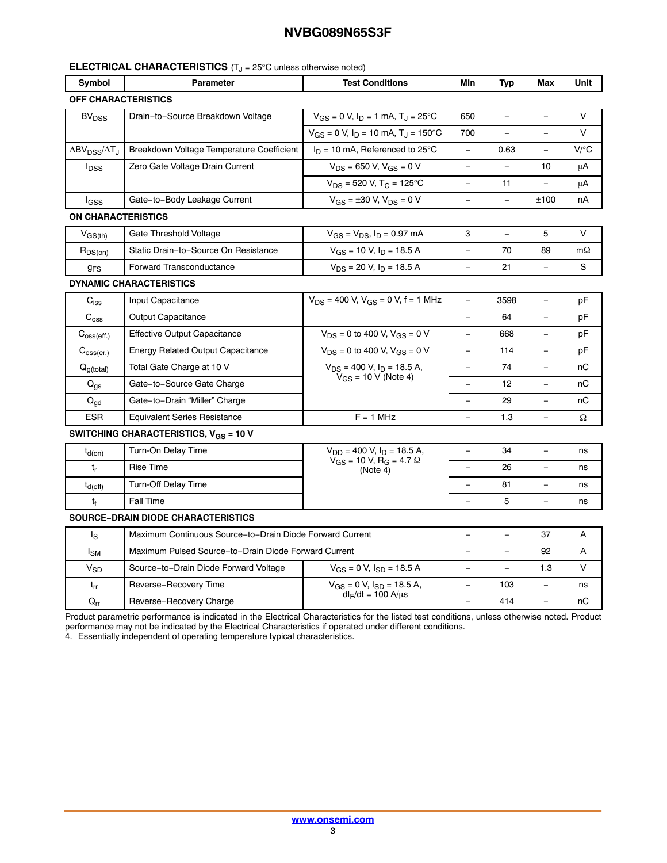#### **ELECTRICAL CHARACTERISTICS** (T<sub>J</sub> = 25°C unless otherwise noted)

| Symbol                                               | <b>Parameter</b>                                         | <b>Test Conditions</b>                                                    | Min                      | Typ            | Max                      | Unit      |
|------------------------------------------------------|----------------------------------------------------------|---------------------------------------------------------------------------|--------------------------|----------------|--------------------------|-----------|
| <b>OFF CHARACTERISTICS</b>                           |                                                          |                                                                           |                          |                |                          |           |
| <b>BV<sub>DSS</sub></b>                              | Drain-to-Source Breakdown Voltage                        | $V_{GS} = 0$ V, $I_D = 1$ mA, $T_J = 25$ °C                               | 650                      | $\equiv$       |                          | V         |
|                                                      |                                                          | $V_{GS}$ = 0 V, $I_D$ = 10 mA, $T_J$ = 150°C                              | 700                      | $\overline{a}$ | $\frac{1}{2}$            | $\vee$    |
| $\Delta$ BV <sub>DSS</sub> / $\Delta$ T <sub>J</sub> | Breakdown Voltage Temperature Coefficient                | $I_D = 10$ mA, Referenced to 25°C                                         | $\equiv$                 | 0.63           | $\equiv$                 | V/C       |
| $I_{\text{DSS}}$                                     | Zero Gate Voltage Drain Current                          | $V_{DS}$ = 650 V, $V_{GS}$ = 0 V                                          |                          |                | 10                       | μA        |
|                                                      |                                                          | $V_{DS}$ = 520 V, T <sub>C</sub> = 125°C                                  | $\overline{\phantom{0}}$ | 11             |                          | μA        |
| lgss                                                 | Gate-to-Body Leakage Current                             | $V_{GS} = \pm 30$ V, $V_{DS} = 0$ V                                       | $\equiv$                 | $\equiv$       | ±100                     | nA        |
| ON CHARACTERISTICS                                   |                                                          |                                                                           |                          |                |                          |           |
| $V_{GS(th)}$                                         | Gate Threshold Voltage                                   | $V_{GS} = V_{DS}$ , $I_D = 0.97$ mA                                       | 3                        | $\equiv$       | 5                        | V         |
| $R_{DS(on)}$                                         | Static Drain-to-Source On Resistance                     | $V_{GS}$ = 10 V, $I_D$ = 18.5 A                                           |                          | 70             | 89                       | $m\Omega$ |
| <b>g<sub>FS</sub></b>                                | <b>Forward Transconductance</b>                          | $V_{DS}$ = 20 V, $I_D$ = 18.5 A                                           | $\overline{\phantom{0}}$ | 21             |                          | S         |
|                                                      | <b>DYNAMIC CHARACTERISTICS</b>                           |                                                                           |                          |                |                          |           |
| $C_{iss}$                                            | Input Capacitance                                        | $V_{DS}$ = 400 V, $V_{GS}$ = 0 V, f = 1 MHz                               | $\equiv$                 | 3598           | $\equiv$                 | pF        |
| $C_{\text{oss}}$                                     | <b>Output Capacitance</b>                                |                                                                           | $\equiv$                 | 64             |                          | рF        |
| $C_{\text{oss}(eff.)}$                               | <b>Effective Output Capacitance</b>                      | $V_{DS}$ = 0 to 400 V, $V_{GS}$ = 0 V                                     | $\overline{\phantom{0}}$ | 668            | $\overline{\phantom{a}}$ | рF        |
| $C_{\text{oss}(er.)}$                                | <b>Energy Related Output Capacitance</b>                 | $V_{DS}$ = 0 to 400 V, $V_{GS}$ = 0 V                                     | $\overline{a}$           | 114            | $\overline{a}$           | pF        |
| $Q_{g(total)}$                                       | Total Gate Charge at 10 V                                | $V_{DS}$ = 400 V, $I_D$ = 18.5 A,                                         |                          | 74             |                          | nС        |
| $Q_{\text{qs}}$                                      | Gate-to-Source Gate Charge                               | $V_{GS}$ = 10 V (Note 4)                                                  | $\equiv$                 | 12             | $\frac{1}{2}$            | пC        |
| $Q_{qd}$                                             | Gate-to-Drain "Miller" Charge                            |                                                                           |                          | 29             |                          | пC        |
| <b>ESR</b>                                           | <b>Equivalent Series Resistance</b>                      | $F = 1$ MHz                                                               |                          | 1.3            |                          | Ω         |
|                                                      | SWITCHING CHARACTERISTICS, $V_{GS}$ = 10 V               |                                                                           |                          |                |                          |           |
| $t_{d(on)}$                                          | Turn-On Delay Time                                       | $V_{DD}$ = 400 V, $I_D$ = 18.5 A,                                         |                          | 34             |                          | ns        |
| t,                                                   | <b>Rise Time</b>                                         | $\overline{V}_{GS}$ = 10 V, $\overline{R}_{G}$ = 4.7 $\Omega$<br>(Note 4) |                          | 26             |                          | ns        |
| $t_{d(Off)}$                                         | <b>Turn-Off Delay Time</b>                               |                                                                           | $\equiv$                 | 81             |                          | ns        |
| tғ                                                   | <b>Fall Time</b>                                         |                                                                           |                          | 5              |                          | ns        |
|                                                      | <b>SOURCE-DRAIN DIODE CHARACTERISTICS</b>                |                                                                           |                          |                |                          |           |
| ls                                                   | Maximum Continuous Source-to-Drain Diode Forward Current |                                                                           |                          | $\equiv$       | 37                       | A         |
| $I_{SM}$                                             | Maximum Pulsed Source-to-Drain Diode Forward Current     |                                                                           |                          |                | 92                       | A         |
| <b>V<sub>SD</sub></b>                                | Source-to-Drain Diode Forward Voltage                    | $V_{GS} = 0$ V, $I_{SD} = 18.5$ A                                         | $\equiv$                 | $\equiv$       | 1.3                      | $\vee$    |
| $t_{rr}$                                             | Reverse-Recovery Time                                    | $V_{GS} = 0$ V, $I_{SD} = 18.5$ A,                                        |                          | 103            |                          | ns        |
| $\mathsf{Q}_{\mathsf{r}\mathsf{r}}$                  | Reverse-Recovery Charge                                  | $dl_F/dt = 100 A/μs$                                                      | $\equiv$                 | 414            | $\frac{1}{2}$            | пC        |

Product parametric performance is indicated in the Electrical Characteristics for the listed test conditions, unless otherwise noted. Product performance may not be indicated by the Electrical Characteristics if operated under different conditions.

4. Essentially independent of operating temperature typical characteristics.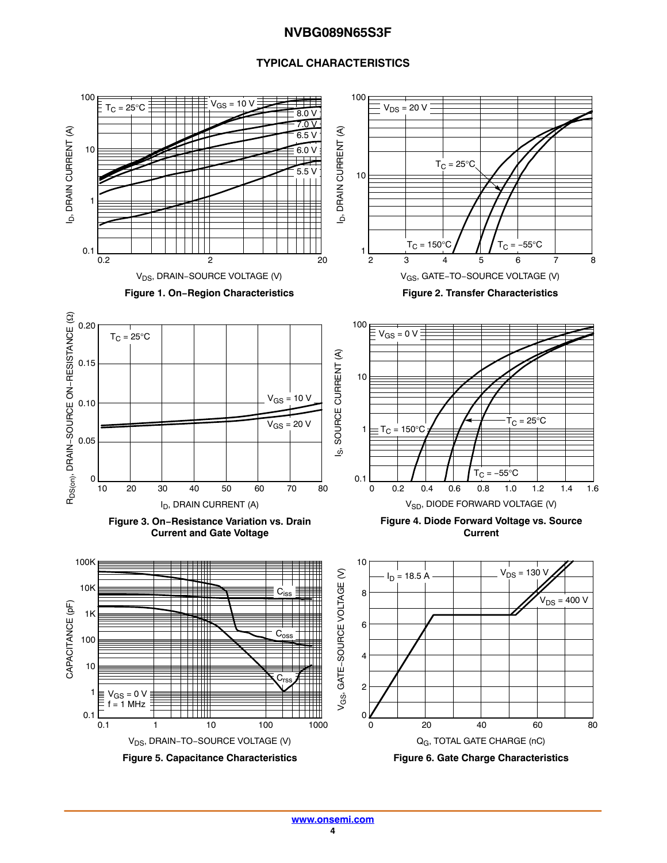#### **TYPICAL CHARACTERISTICS**

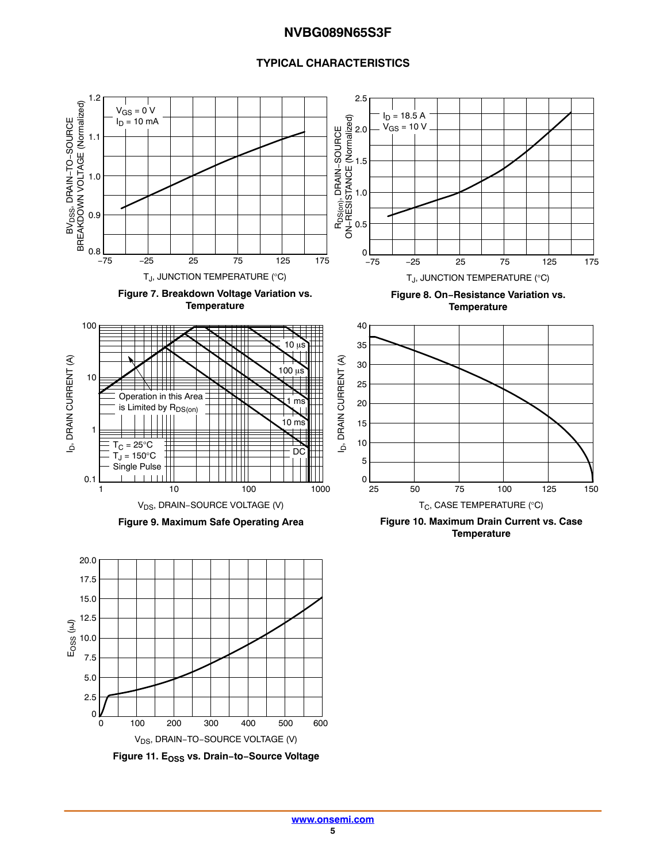#### **TYPICAL CHARACTERISTICS**



**[www.onsemi.com](http://www.onsemi.com/) 5**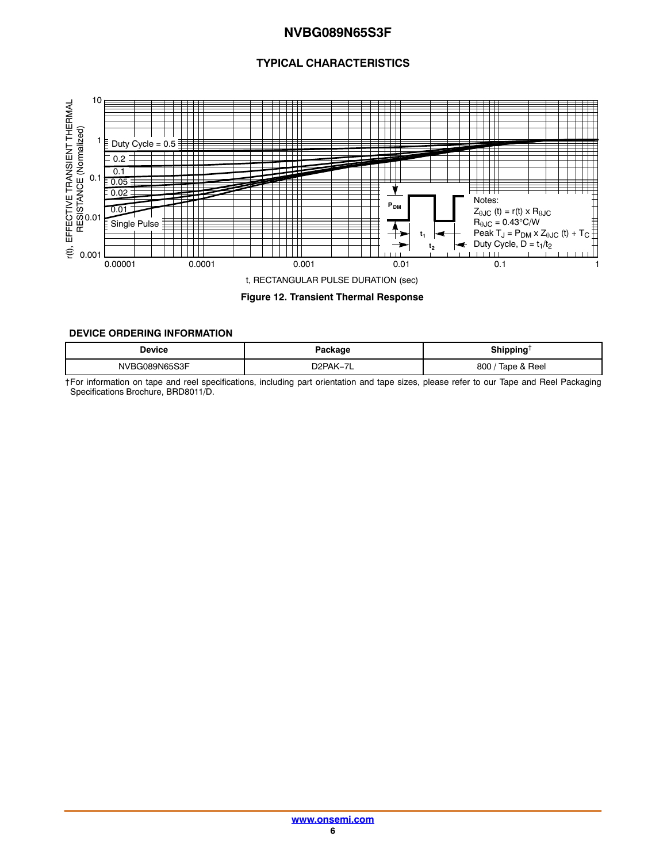#### **TYPICAL CHARACTERISTICS**

<span id="page-5-0"></span>

**Figure 12. Transient Thermal Response**

#### **DEVICE ORDERING INFORMATION**

| Device           | 'ackaqe                     | Shippina<br>--     |
|------------------|-----------------------------|--------------------|
| نو9N65S3F<br>NVF | $-$<br>אנוניו<br>⊣∠ر<br>AN- | Tape & Reel<br>800 |

†For information on tape and reel specifications, including part orientation and tape sizes, please refer to our Tape and Reel Packaging Specifications Brochure, BRD8011/D.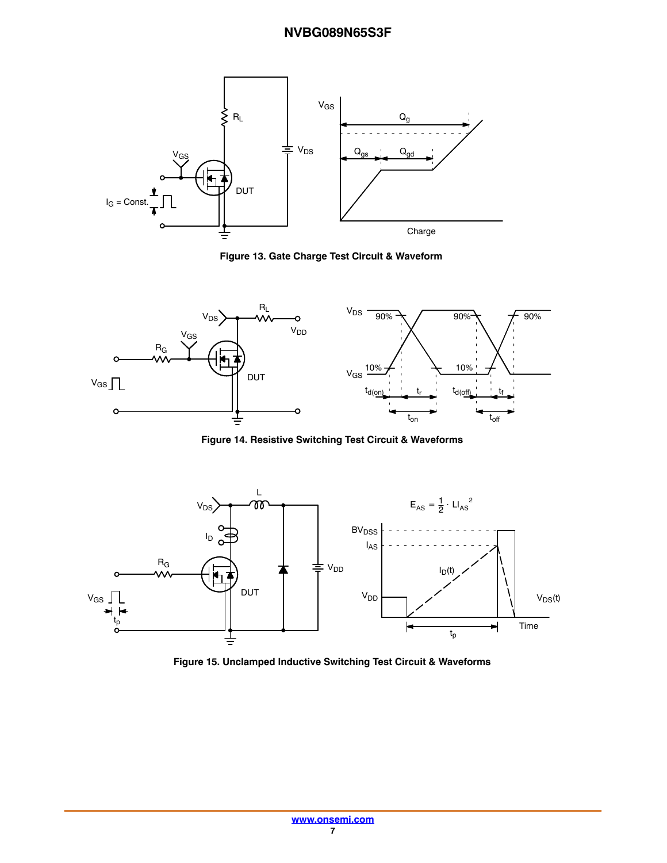

**Figure 13. Gate Charge Test Circuit & Waveform**



**Figure 14. Resistive Switching Test Circuit & Waveforms**



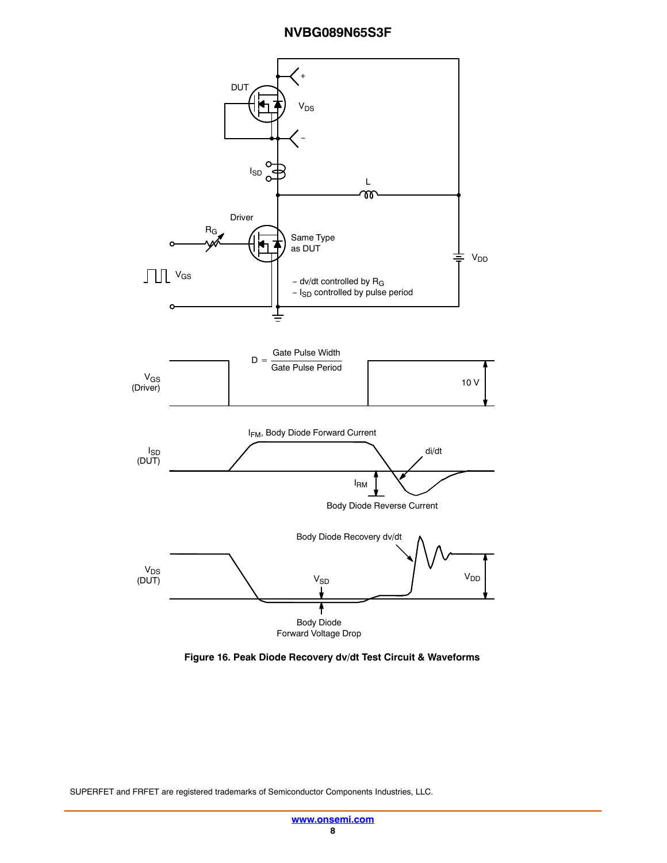

**Figure 16. Peak Diode Recovery dv/dt Test Circuit & Waveforms**

SUPERFET and FRFET are registered trademarks of Semiconductor Components Industries, LLC.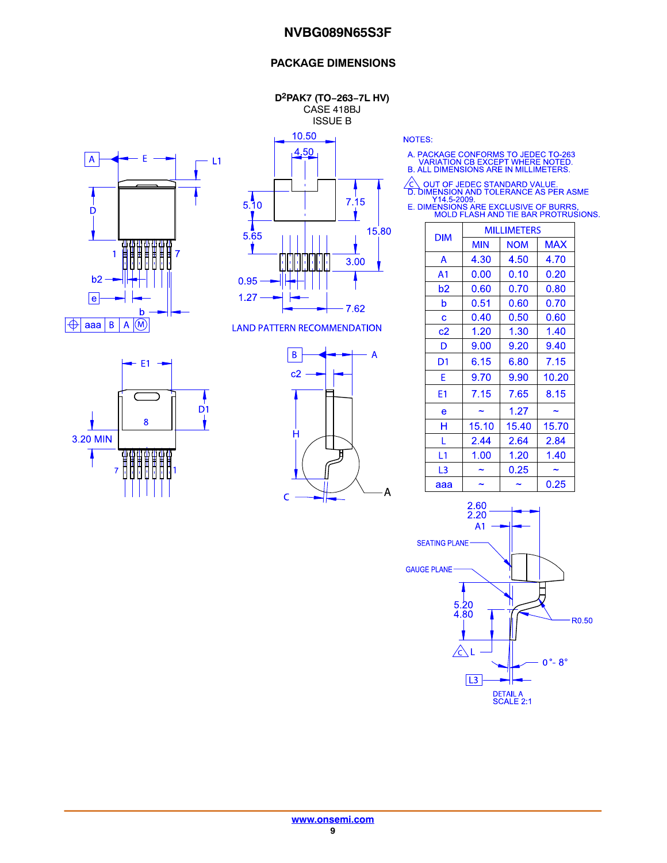#### **PACKAGE DIMENSIONS**

**D2PAK7 (TO−263−7L HV)** CASE 418BJ ISSUE B





**LAND PATTERN RECOMMENDATION** 





**NOTES:** 

A. PACKAGE CONFORMS TO JEDEC TO-263<br>VARIATION CB EXCEPT WHERE NOTED.<br>B. ALL DIMENSIONS ARE IN MILLIMETERS.

△ OUT OF JEDEC STANDARD VALUE.<br>
D. DIMENSION AND TOLERANCE AS PER ASME<br>
Y14.5-2009.<br>
E. DIMENSIONS ARE EXCLUSIVE OF BURRS.<br>
MOLD FLASH AND TIE BAR PROTRUSIONS.

| <b>DIM</b>     | <b>MILLIMETERS</b> |            |            |  |
|----------------|--------------------|------------|------------|--|
|                | <b>MIN</b>         | <b>NOM</b> | <b>MAX</b> |  |
| A              | 4.30               | 4.50       | 4.70       |  |
| A <sub>1</sub> | 0.00               | 0.10       | 0.20       |  |
| b2             | 0.60               | 0.70       | 0.80       |  |
| b              | 0.51               | 0.60       | 0.70       |  |
| Ć              | 0.40               | 0.50       | 0.60       |  |
| c2             | 1.20               | 1.30       | 1.40       |  |
| D              | 9.00               | 9.20       | 9.40       |  |
| D1             | 6.15               | 6.80       | 7.15       |  |
| F              | 9.70               | 9.90       | 10.20      |  |
| E1             | 7.15               | 7.65       | 8.15       |  |
| e              |                    | 1.27       |            |  |
| н              | 15.10              | 15.40      | 15.70      |  |
| L              | 2.44               | 2.64       | 2.84       |  |
| L1             | 1.00               | 1.20       | 1.40       |  |
| L3             |                    | 0.25       |            |  |
| ааа            |                    |            | 0.25       |  |